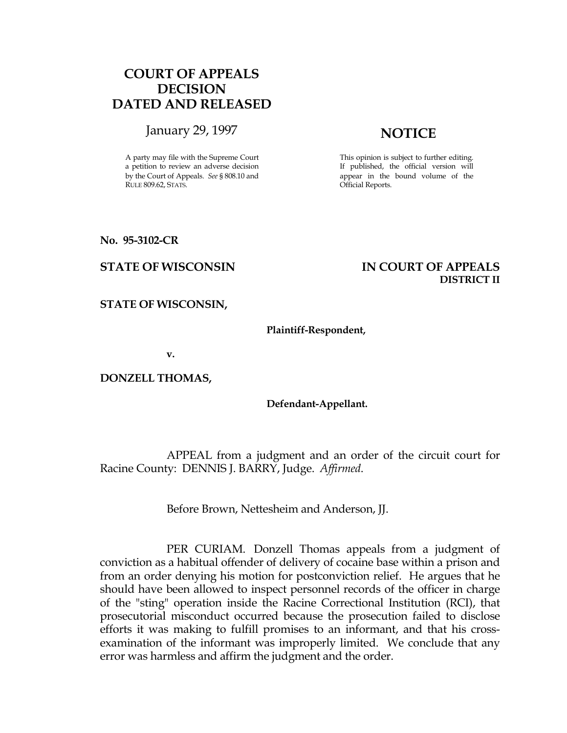# COURT OF APPEALS DECISION DATED AND RELEASED

January 29, 1997 **NOTICE** 

A party may file with the Supreme Court a petition to review an adverse decision by the Court of Appeals. See § 808.10 and RULE 809.62, STATS.

This opinion is subject to further editing. If published, the official version will appear in the bound volume of the Official Reports.

No. 95-3102-CR

## STATE OF WISCONSIN IN COURT OF APPEALS DISTRICT II

STATE OF WISCONSIN,

### Plaintiff-Respondent,

v.

DONZELL THOMAS,

## Defendant-Appellant.

 APPEAL from a judgment and an order of the circuit court for Racine County: DENNIS J. BARRY, Judge. Affirmed.

Before Brown, Nettesheim and Anderson, JJ.

 PER CURIAM. Donzell Thomas appeals from a judgment of conviction as a habitual offender of delivery of cocaine base within a prison and from an order denying his motion for postconviction relief. He argues that he should have been allowed to inspect personnel records of the officer in charge of the "sting" operation inside the Racine Correctional Institution (RCI), that prosecutorial misconduct occurred because the prosecution failed to disclose efforts it was making to fulfill promises to an informant, and that his crossexamination of the informant was improperly limited. We conclude that any error was harmless and affirm the judgment and the order.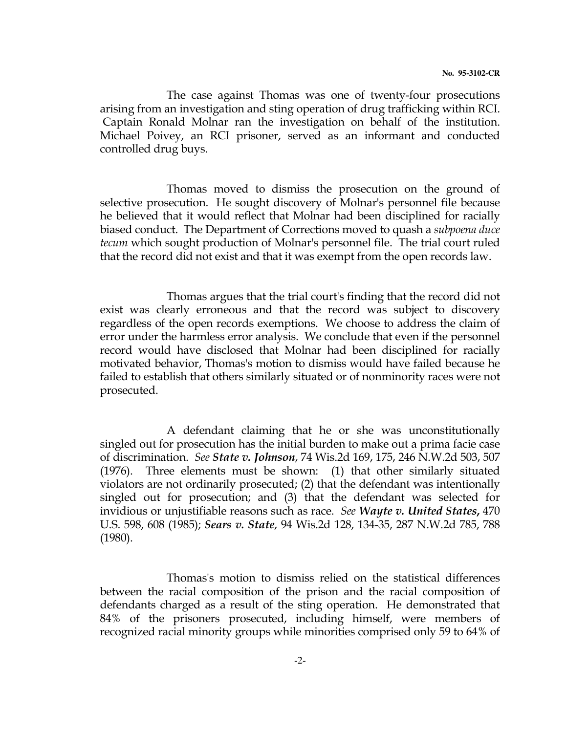The case against Thomas was one of twenty-four prosecutions arising from an investigation and sting operation of drug trafficking within RCI. Captain Ronald Molnar ran the investigation on behalf of the institution. Michael Poivey, an RCI prisoner, served as an informant and conducted controlled drug buys.

 Thomas moved to dismiss the prosecution on the ground of selective prosecution. He sought discovery of Molnar's personnel file because he believed that it would reflect that Molnar had been disciplined for racially biased conduct. The Department of Corrections moved to quash a subpoena duce tecum which sought production of Molnar's personnel file. The trial court ruled that the record did not exist and that it was exempt from the open records law.

 Thomas argues that the trial court's finding that the record did not exist was clearly erroneous and that the record was subject to discovery regardless of the open records exemptions. We choose to address the claim of error under the harmless error analysis. We conclude that even if the personnel record would have disclosed that Molnar had been disciplined for racially motivated behavior, Thomas's motion to dismiss would have failed because he failed to establish that others similarly situated or of nonminority races were not prosecuted.

 A defendant claiming that he or she was unconstitutionally singled out for prosecution has the initial burden to make out a prima facie case of discrimination. See State v. Johnson, 74 Wis.2d 169, 175, 246 N.W.2d 503, 507 (1976). Three elements must be shown: (1) that other similarly situated violators are not ordinarily prosecuted; (2) that the defendant was intentionally singled out for prosecution; and (3) that the defendant was selected for invidious or unjustifiable reasons such as race. See Wayte v. United States, 470 U.S. 598, 608 (1985); Sears v. State, 94 Wis.2d 128, 134-35, 287 N.W.2d 785, 788 (1980).

 Thomas's motion to dismiss relied on the statistical differences between the racial composition of the prison and the racial composition of defendants charged as a result of the sting operation. He demonstrated that 84% of the prisoners prosecuted, including himself, were members of recognized racial minority groups while minorities comprised only 59 to 64% of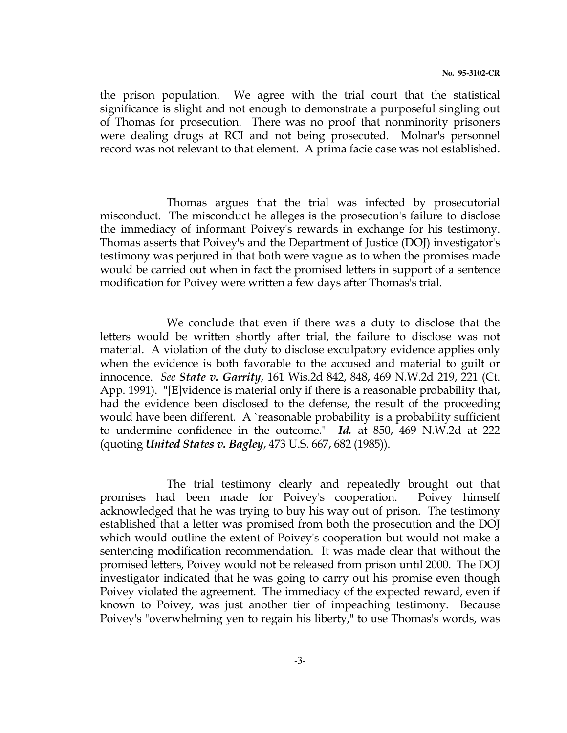the prison population. We agree with the trial court that the statistical significance is slight and not enough to demonstrate a purposeful singling out of Thomas for prosecution. There was no proof that nonminority prisoners were dealing drugs at RCI and not being prosecuted. Molnar's personnel record was not relevant to that element. A prima facie case was not established.

 Thomas argues that the trial was infected by prosecutorial misconduct. The misconduct he alleges is the prosecution's failure to disclose the immediacy of informant Poivey's rewards in exchange for his testimony. Thomas asserts that Poivey's and the Department of Justice (DOJ) investigator's testimony was perjured in that both were vague as to when the promises made would be carried out when in fact the promised letters in support of a sentence modification for Poivey were written a few days after Thomas's trial.

 We conclude that even if there was a duty to disclose that the letters would be written shortly after trial, the failure to disclose was not material. A violation of the duty to disclose exculpatory evidence applies only when the evidence is both favorable to the accused and material to guilt or innocence. See State v. Garrity, 161 Wis.2d 842, 848, 469 N.W.2d 219, 221 (Ct. App. 1991). "[E]vidence is material only if there is a reasonable probability that, had the evidence been disclosed to the defense, the result of the proceeding would have been different. A `reasonable probability' is a probability sufficient to undermine confidence in the outcome." Id. at 850, 469 N.W.2d at 222 (quoting United States v. Bagley, 473 U.S. 667, 682 (1985)).

 The trial testimony clearly and repeatedly brought out that promises had been made for Poivey's cooperation. Poivey himself acknowledged that he was trying to buy his way out of prison. The testimony established that a letter was promised from both the prosecution and the DOJ which would outline the extent of Poivey's cooperation but would not make a sentencing modification recommendation. It was made clear that without the promised letters, Poivey would not be released from prison until 2000. The DOJ investigator indicated that he was going to carry out his promise even though Poivey violated the agreement. The immediacy of the expected reward, even if known to Poivey, was just another tier of impeaching testimony. Because Poivey's "overwhelming yen to regain his liberty," to use Thomas's words, was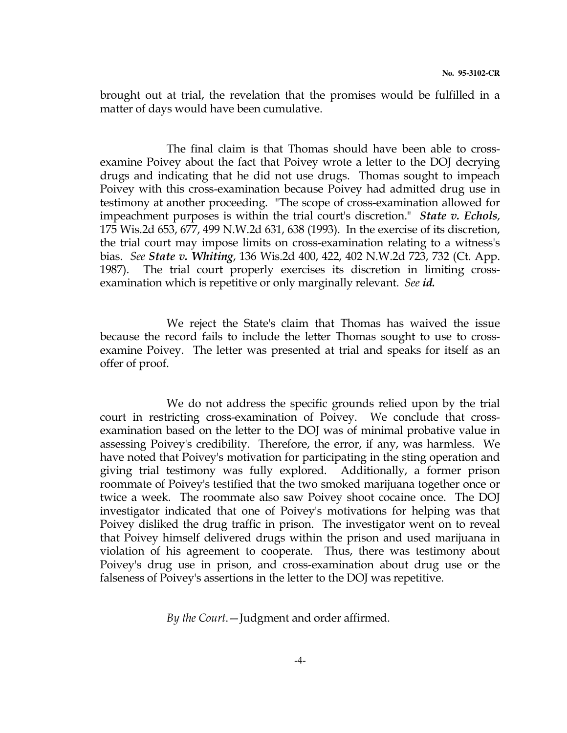brought out at trial, the revelation that the promises would be fulfilled in a matter of days would have been cumulative.

 The final claim is that Thomas should have been able to crossexamine Poivey about the fact that Poivey wrote a letter to the DOJ decrying drugs and indicating that he did not use drugs. Thomas sought to impeach Poivey with this cross-examination because Poivey had admitted drug use in testimony at another proceeding. "The scope of cross-examination allowed for impeachment purposes is within the trial court's discretion." State  $v$ . Echols, 175 Wis.2d 653, 677, 499 N.W.2d 631, 638 (1993). In the exercise of its discretion, the trial court may impose limits on cross-examination relating to a witness's bias. See **State v. Whiting**, 136 Wis.2d 400, 422, 402 N.W.2d 723, 732 (Ct. App. 1987). The trial court properly exercises its discretion in limiting crossexamination which is repetitive or only marginally relevant. See id.

 We reject the State's claim that Thomas has waived the issue because the record fails to include the letter Thomas sought to use to crossexamine Poivey. The letter was presented at trial and speaks for itself as an offer of proof.

 We do not address the specific grounds relied upon by the trial court in restricting cross-examination of Poivey. We conclude that crossexamination based on the letter to the DOJ was of minimal probative value in assessing Poivey's credibility. Therefore, the error, if any, was harmless. We have noted that Poivey's motivation for participating in the sting operation and giving trial testimony was fully explored. Additionally, a former prison roommate of Poivey's testified that the two smoked marijuana together once or twice a week. The roommate also saw Poivey shoot cocaine once. The DOJ investigator indicated that one of Poivey's motivations for helping was that Poivey disliked the drug traffic in prison. The investigator went on to reveal that Poivey himself delivered drugs within the prison and used marijuana in violation of his agreement to cooperate. Thus, there was testimony about Poivey's drug use in prison, and cross-examination about drug use or the falseness of Poivey's assertions in the letter to the DOJ was repetitive.

By the Court.—Judgment and order affirmed.